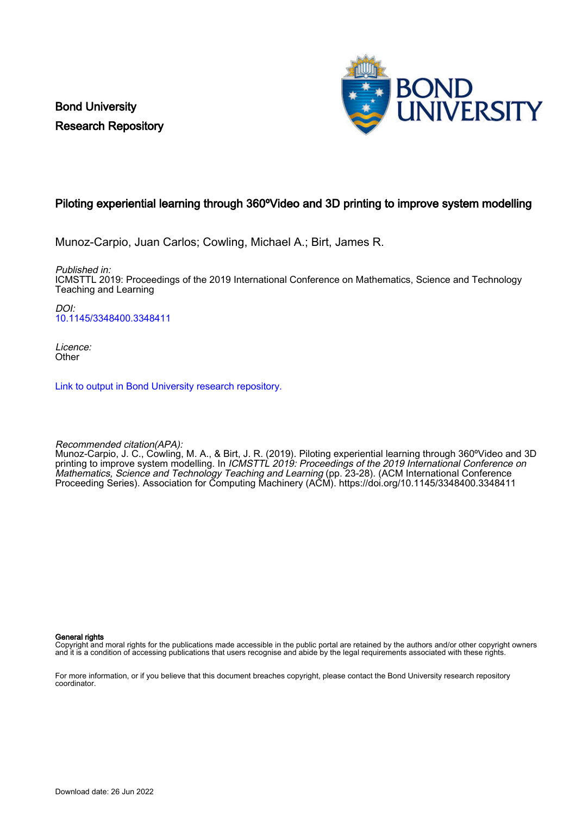Bond University Research Repository



## Piloting experiential learning through 360ºVideo and 3D printing to improve system modelling

Munoz-Carpio, Juan Carlos; Cowling, Michael A.; Birt, James R.

Published in:

ICMSTTL 2019: Proceedings of the 2019 International Conference on Mathematics, Science and Technology Teaching and Learning

 $D$ [10.1145/3348400.3348411](https://doi.org/10.1145/3348400.3348411)

Licence: **Other** 

[Link to output in Bond University research repository.](https://research.bond.edu.au/en/publications/ed670ce3-7fff-44f4-adac-1c7ba07af315)

Recommended citation(APA):

Munoz-Carpio, J. C., Cowling, M. A., & Birt, J. R. (2019). Piloting experiential learning through 360ºVideo and 3D printing to improve system modelling. In ICMSTTL 2019: Proceedings of the 2019 International Conference on Mathematics, Science and Technology Teaching and Learning (pp. 23-28). (ACM International Conference Proceeding Series). Association for Computing Machinery (ACM).<https://doi.org/10.1145/3348400.3348411>

General rights

Copyright and moral rights for the publications made accessible in the public portal are retained by the authors and/or other copyright owners and it is a condition of accessing publications that users recognise and abide by the legal requirements associated with these rights.

For more information, or if you believe that this document breaches copyright, please contact the Bond University research repository coordinator.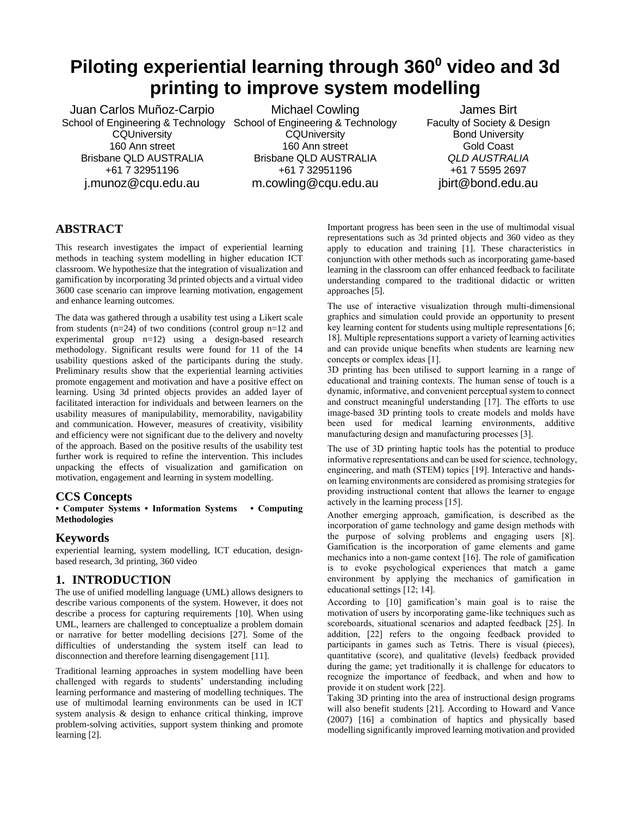## **Piloting experiential learning through 360<sup>0</sup> video and 3d printing to improve system modelling**

Juan Carlos Muñoz-Carpio School of Engineering & Technology School of Engineering & Technology **CQUniversity** 160 Ann street Brisbane QLD AUSTRALIA +61 7 32951196 j.munoz@cqu.edu.au

Michael Cowling **CQUniversity** 160 Ann street Brisbane QLD AUSTRALIA +61 7 32951196 m.cowling@cqu.edu.au

James Birt Faculty of Society & Design Bond University Gold Coast *QLD AUSTRALIA* +61 7 5595 2697 jbirt@bond.edu.au

## **ABSTRACT**

This research investigates the impact of experiential learning methods in teaching system modelling in higher education ICT classroom. We hypothesize that the integration of visualization and gamification by incorporating 3d printed objects and a virtual video 3600 case scenario can improve learning motivation, engagement and enhance learning outcomes.

The data was gathered through a usability test using a Likert scale from students (n=24) of two conditions (control group n=12 and experimental group n=12) using a design-based research methodology. Significant results were found for 11 of the 14 usability questions asked of the participants during the study. Preliminary results show that the experiential learning activities promote engagement and motivation and have a positive effect on learning. Using 3d printed objects provides an added layer of facilitated interaction for individuals and between learners on the usability measures of manipulability, memorability, navigability and communication. However, measures of creativity, visibility and efficiency were not significant due to the delivery and novelty of the approach. Based on the positive results of the usability test further work is required to refine the intervention. This includes unpacking the effects of visualization and gamification on motivation, engagement and learning in system modelling.

## **CCS Concepts**

**• Computer Systems • Information Systems • Computing Methodologies**

## **Keywords**

experiential learning, system modelling, ICT education, designbased research, 3d printing, 360 video

## **1. INTRODUCTION**

The use of unified modelling language (UML) allows designers to describe various components of the system. However, it does not describe a process for capturing requirements [10]. When using UML, learners are challenged to conceptualize a problem domain or narrative for better modelling decisions [27]. Some of the difficulties of understanding the system itself can lead to disconnection and therefore learning disengagement [11].

Traditional learning approaches in system modelling have been challenged with regards to students' understanding including learning performance and mastering of modelling techniques. The use of multimodal learning environments can be used in ICT system analysis & design to enhance critical thinking, improve problem-solving activities, support system thinking and promote learning [2].

Important progress has been seen in the use of multimodal visual representations such as 3d printed objects and 360 video as they apply to education and training [1]. These characteristics in conjunction with other methods such as incorporating game-based learning in the classroom can offer enhanced feedback to facilitate understanding compared to the traditional didactic or written approaches [5].

The use of interactive visualization through multi-dimensional graphics and simulation could provide an opportunity to present key learning content for students using multiple representations [6; 18]. Multiple representations support a variety of learning activities and can provide unique benefits when students are learning new concepts or complex ideas [1].

3D printing has been utilised to support learning in a range of educational and training contexts. The human sense of touch is a dynamic, informative, and convenient perceptual system to connect and construct meaningful understanding [17]. The efforts to use image-based 3D printing tools to create models and molds have been used for medical learning environments, additive manufacturing design and manufacturing processes [3].

The use of 3D printing haptic tools has the potential to produce informative representations and can be used for science, technology, engineering, and math (STEM) topics [19]. Interactive and handson learning environments are considered as promising strategies for providing instructional content that allows the learner to engage actively in the learning process [15].

Another emerging approach, gamification, is described as the incorporation of game technology and game design methods with the purpose of solving problems and engaging users [8]. Gamification is the incorporation of game elements and game mechanics into a non-game context [16]. The role of gamification is to evoke psychological experiences that match a game environment by applying the mechanics of gamification in educational settings [12; 14].

According to [10] gamification's main goal is to raise the motivation of users by incorporating game-like techniques such as scoreboards, situational scenarios and adapted feedback [25]. In addition, [22] refers to the ongoing feedback provided to participants in games such as Tetris. There is visual (pieces), quantitative (score), and qualitative (levels) feedback provided during the game; yet traditionally it is challenge for educators to recognize the importance of feedback, and when and how to provide it on student work [22].

Taking 3D printing into the area of instructional design programs will also benefit students [21]. According to Howard and Vance (2007) [16] a combination of haptics and physically based modelling significantly improved learning motivation and provided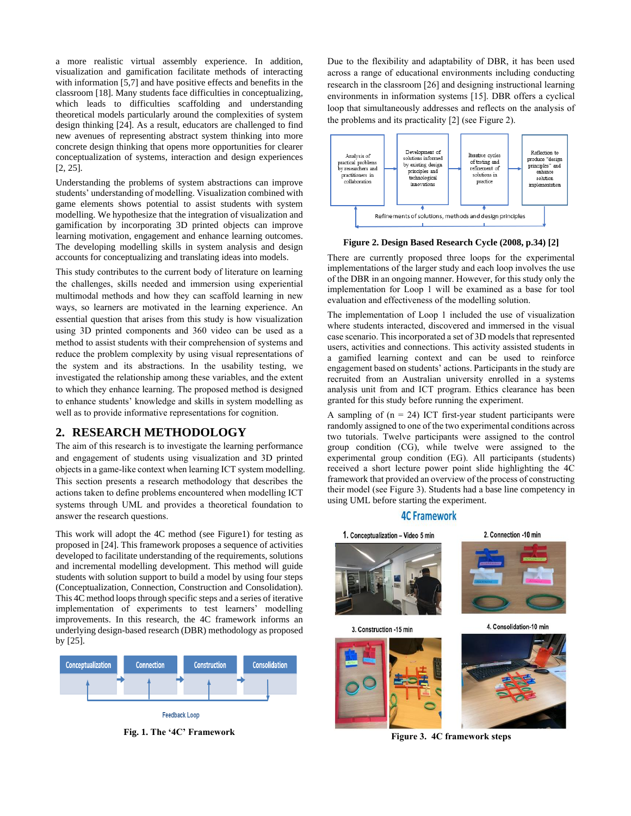a more realistic virtual assembly experience. In addition, visualization and gamification facilitate methods of interacting with information [5,7] and have positive effects and benefits in the classroom [18]. Many students face difficulties in conceptualizing, which leads to difficulties scaffolding and understanding theoretical models particularly around the complexities of system design thinking [24]. As a result, educators are challenged to find new avenues of representing abstract system thinking into more concrete design thinking that opens more opportunities for clearer conceptualization of systems, interaction and design experiences [2, 25].

Understanding the problems of system abstractions can improve students' understanding of modelling. Visualization combined with game elements shows potential to assist students with system modelling. We hypothesize that the integration of visualization and gamification by incorporating 3D printed objects can improve learning motivation, engagement and enhance learning outcomes. The developing modelling skills in system analysis and design accounts for conceptualizing and translating ideas into models.

This study contributes to the current body of literature on learning the challenges, skills needed and immersion using experiential multimodal methods and how they can scaffold learning in new ways, so learners are motivated in the learning experience. An essential question that arises from this study is how visualization using 3D printed components and 360 video can be used as a method to assist students with their comprehension of systems and reduce the problem complexity by using visual representations of the system and its abstractions. In the usability testing, we investigated the relationship among these variables, and the extent to which they enhance learning. The proposed method is designed to enhance students' knowledge and skills in system modelling as well as to provide informative representations for cognition.

#### **2. RESEARCH METHODOLOGY**

The aim of this research is to investigate the learning performance and engagement of students using visualization and 3D printed objects in a game-like context when learning ICT system modelling. This section presents a research methodology that describes the actions taken to define problems encountered when modelling ICT systems through UML and provides a theoretical foundation to answer the research questions.

This work will adopt the 4C method (see Figure1) for testing as proposed in [24]. This framework proposes a sequence of activities developed to facilitate understanding of the requirements, solutions and incremental modelling development. This method will guide students with solution support to build a model by using four steps (Conceptualization, Connection, Construction and Consolidation). This 4C method loops through specific steps and a series of iterative implementation of experiments to test learners' modelling improvements. In this research, the 4C framework informs an underlying design-based research (DBR) methodology as proposed by [25].



**Fig. 1. The '4C' Framework**

Due to the flexibility and adaptability of DBR, it has been used across a range of educational environments including conducting research in the classroom [26] and designing instructional learning environments in information systems [15]. DBR offers a cyclical loop that simultaneously addresses and reflects on the analysis of the problems and its practicality [2] (see Figure 2).



**Figure 2. Design Based Research Cycle (2008, p.34) [2]** 

There are currently proposed three loops for the experimental implementations of the larger study and each loop involves the use of the DBR in an ongoing manner. However, for this study only the implementation for Loop 1 will be examined as a base for tool evaluation and effectiveness of the modelling solution.

The implementation of Loop 1 included the use of visualization where students interacted, discovered and immersed in the visual case scenario. This incorporated a set of 3D models that represented users, activities and connections. This activity assisted students in a gamified learning context and can be used to reinforce engagement based on students' actions. Participants in the study are recruited from an Australian university enrolled in a systems analysis unit from and ICT program. Ethics clearance has been granted for this study before running the experiment.

A sampling of  $(n = 24)$  ICT first-year student participants were randomly assigned to one of the two experimental conditions across two tutorials. Twelve participants were assigned to the control group condition (CG), while twelve were assigned to the experimental group condition (EG). All participants (students) received a short lecture power point slide highlighting the 4C framework that provided an overview of the process of constructing their model (see Figure 3). Students had a base line competency in using UML before starting the experiment.

#### **4C Framework**



**Figure 3. 4C framework steps**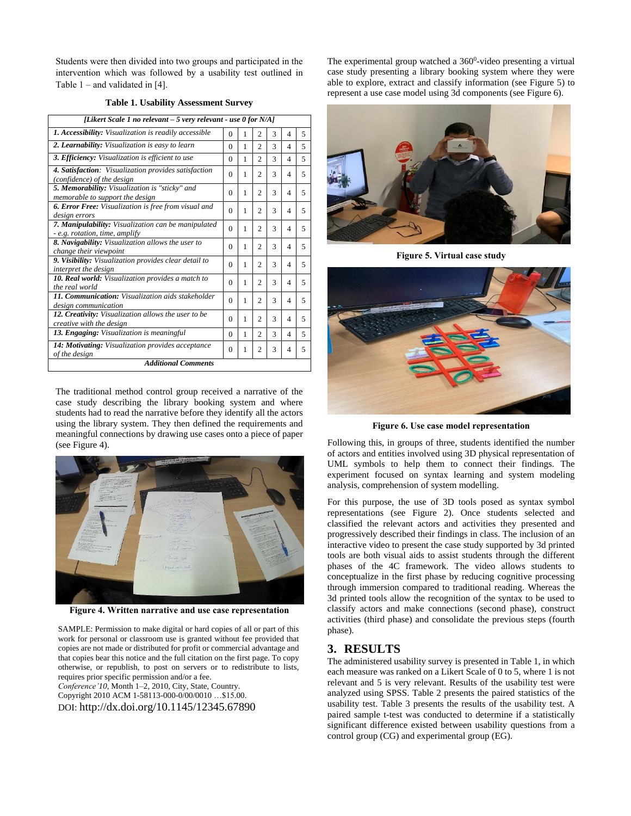Students were then divided into two groups and participated in the intervention which was followed by a usability test outlined in Table  $1$  – and validated in [4].

#### **Table 1. Usability Assessment Survey**

| [Likert Scale 1 no relevant – 5 very relevant - use 0 for N/A]                        |          |   |                |              |   |   |
|---------------------------------------------------------------------------------------|----------|---|----------------|--------------|---|---|
| 1. Accessibility: Visualization is readily accessible                                 | $\Omega$ | 1 | $\overline{2}$ | 3            | 4 | 5 |
| 2. Learnability: Visualization is easy to learn                                       | $\Omega$ | 1 | $\mathfrak{D}$ | $\mathbf{3}$ | 4 | 5 |
| 3. Efficiency: Visualization is efficient to use                                      | $\Omega$ | 1 | $\mathfrak{D}$ | 3            | 4 | 5 |
| 4. Satisfaction: Visualization provides satisfaction<br>(confidence) of the design    | $\Omega$ | 1 | $\mathfrak{D}$ | 3            | 4 | 5 |
| 5. Memorability: Visualization is "sticky" and<br>memorable to support the design     | $\Omega$ | 1 | 2              | 3            | 4 | 5 |
| <b>6. Error Free:</b> Visualization is free from visual and<br>design errors          | $\Omega$ | 1 | 2              | 3            | 4 | 5 |
| 7. Manipulability: Visualization can be manipulated<br>- e.g. rotation, time, amplify | $\Omega$ | 1 | $\mathfrak{D}$ | 3            | 4 | 5 |
| 8. Navigability: Visualization allows the user to<br>change their viewpoint           | $\Omega$ | 1 | $\mathfrak{D}$ | 3            | 4 | 5 |
| 9. Visibility: Visualization provides clear detail to<br>interpret the design         | $\Omega$ | 1 | 2              | 3            | 4 | 5 |
| 10. Real world: Visualization provides a match to<br>the real world                   | $\Omega$ | 1 | $\mathfrak{D}$ | 3            | 4 | 5 |
| 11. Communication: Visualization aids stakeholder<br>design communication             | $\Omega$ | 1 | 2              | 3            | 4 | 5 |
| 12. Creativity: Visualization allows the user to be<br>creative with the design       | $\Omega$ | 1 | 2              | 3            | 4 | 5 |
| 13. Engaging: Visualization is meaningful                                             | $\Omega$ | 1 | 2              | 3            | 4 | 5 |
| 14: Motivating: Visualization provides acceptance<br>of the design                    | $\Omega$ | 1 | 2              | 3            | 4 | 5 |
| <b>Additional Comments</b>                                                            |          |   |                |              |   |   |

The traditional method control group received a narrative of the case study describing the library booking system and where students had to read the narrative before they identify all the actors using the library system. They then defined the requirements and meaningful connections by drawing use cases onto a piece of paper (see Figure 4).



**Figure 4. Written narrative and use case representation**

SAMPLE: Permission to make digital or hard copies of all or part of this work for personal or classroom use is granted without fee provided that copies are not made or distributed for profit or commercial advantage and that copies bear this notice and the full citation on the first page. To copy otherwise, or republish, to post on servers or to redistribute to lists, requires prior specific permission and/or a fee.

*Conference'10*, Month 1–2, 2010, City, State, Country. Copyright 2010 ACM 1-58113-000-0/00/0010 …\$15.00. DOI: http://dx.doi.org/10.1145/12345.67890

The experimental group watched a 360<sup>0</sup>-video presenting a virtual case study presenting a library booking system where they were able to explore, extract and classify information (see Figure 5) to represent a use case model using 3d components (see Figure 6).



**Figure 5. Virtual case study**



**Figure 6. Use case model representation**

Following this, in groups of three, students identified the number of actors and entities involved using 3D physical representation of UML symbols to help them to connect their findings. The experiment focused on syntax learning and system modeling analysis, comprehension of system modelling.

For this purpose, the use of 3D tools posed as syntax symbol representations (see Figure 2). Once students selected and classified the relevant actors and activities they presented and progressively described their findings in class. The inclusion of an interactive video to present the case study supported by 3d printed tools are both visual aids to assist students through the different phases of the 4C framework. The video allows students to conceptualize in the first phase by reducing cognitive processing through immersion compared to traditional reading. Whereas the 3d printed tools allow the recognition of the syntax to be used to classify actors and make connections (second phase), construct activities (third phase) and consolidate the previous steps (fourth phase).

#### **3. RESULTS**

The administered usability survey is presented in Table 1, in which each measure was ranked on a Likert Scale of 0 to 5, where 1 is not relevant and 5 is very relevant. Results of the usability test were analyzed using SPSS. Table 2 presents the paired statistics of the usability test. Table 3 presents the results of the usability test. A paired sample t-test was conducted to determine if a statistically significant difference existed between usability questions from a control group (CG) and experimental group (EG).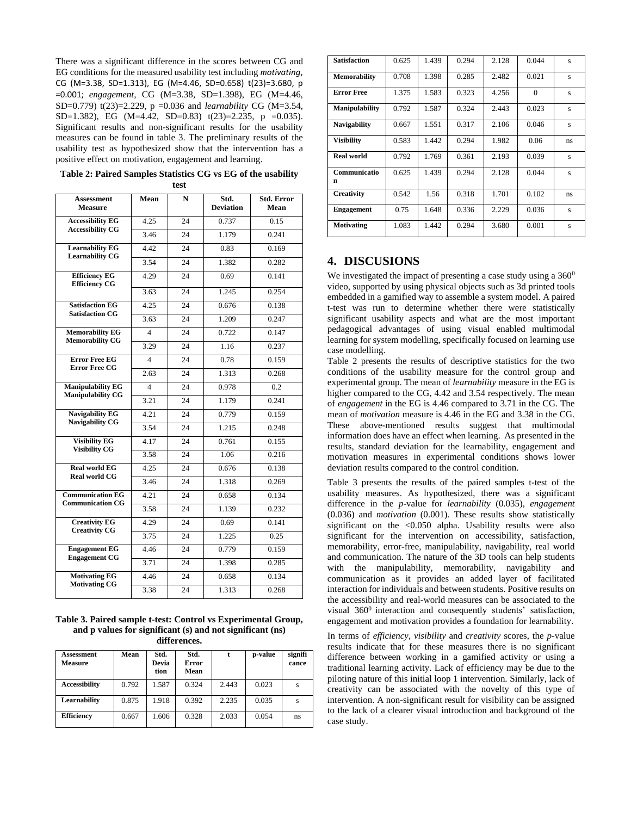There was a significant difference in the scores between CG and EG conditions for the measured usability test including *motivating*, CG (M=3.38, SD=1.313), EG (M=4.46, SD=0.658) t(23)=3.680, p =0.001; *engagement*, CG (M=3.38, SD=1.398), EG (M=4.46, SD=0.779) t(23)=2.229, p =0.036 and *learnability* CG (M=3.54, SD=1.382), EG (M=4.42, SD=0.83)  $t(23)=2.235$ , p =0.035). Significant results and non-significant results for the usability measures can be found in table 3. The preliminary results of the usability test as hypothesized show that the intervention has a positive effect on motivation, engagement and learning.

**Table 2: Paired Samples Statistics CG vs EG of the usability test**

| <b>Assessment</b><br><b>Measure</b>                  | Mean                    | N  | Std.<br><b>Deviation</b> | Std. Error<br>Mean |
|------------------------------------------------------|-------------------------|----|--------------------------|--------------------|
| <b>Accessibility EG</b><br><b>Accessibility CG</b>   | 4.25                    | 24 | 0.737                    | 0.15               |
|                                                      | 3.46                    | 24 | 1.179                    | 0.241              |
| <b>Learnability EG</b><br><b>Learnability CG</b>     | 4.42                    | 24 | 0.83                     | 0.169              |
|                                                      | 3.54                    | 24 | 1.382                    | 0.282              |
| <b>Efficiency EG</b><br><b>Efficiency CG</b>         | 4.29                    | 24 | 0.69                     | 0.141              |
|                                                      | $\overline{3.63}$       | 24 | 1.245                    | 0.254              |
| <b>Satisfaction EG</b><br><b>Satisfaction CG</b>     | 4.25                    | 24 | 0.676                    | 0.138              |
|                                                      | 3.63                    | 24 | 1.209                    | 0.247              |
| <b>Memorability EG</b><br><b>Memorability CG</b>     | $\overline{4}$          | 24 | 0.722                    | 0.147              |
|                                                      | 3.29                    | 24 | 1.16                     | 0.237              |
| <b>Error Free EG</b>                                 | $\overline{4}$          | 24 | 0.78                     | 0.159              |
| <b>Error Free CG</b>                                 | 2.63                    | 24 | 1.313                    | 0.268              |
| <b>Manipulability EG</b><br><b>Manipulability CG</b> | $\overline{\mathbf{4}}$ | 24 | 0.978                    | 0.2                |
|                                                      | 3.21                    | 24 | 1.179                    | 0.241              |
| <b>Navigability EG</b><br><b>Navigability CG</b>     | 4.21                    | 24 | 0.779                    | 0.159              |
|                                                      | 3.54                    | 24 | 1.215                    | 0.248              |
| <b>Visibility EG</b><br><b>Visibility CG</b>         | 4.17                    | 24 | 0.761                    | 0.155              |
|                                                      | 3.58                    | 24 | 1.06                     | 0.216              |
| <b>Real world EG</b><br><b>Real world CG</b>         | 4.25                    | 24 | 0.676                    | 0.138              |
|                                                      | 3.46                    | 24 | 1.318                    | 0.269              |
| <b>Communication EG</b><br><b>Communication CG</b>   | 4.21                    | 24 | 0.658                    | 0.134              |
|                                                      | 3.58                    | 24 | 1.139                    | 0.232              |
| <b>Creativity EG</b><br><b>Creativity CG</b>         | 4.29                    | 24 | 0.69                     | 0.141              |
|                                                      | 3.75                    | 24 | 1.225                    | 0.25               |
| <b>Engagement EG</b><br><b>Engagement CG</b>         | 4.46                    | 24 | 0.779                    | 0.159              |
|                                                      | 3.71                    | 24 | 1.398                    | 0.285              |
| <b>Motivating EG</b><br><b>Motivating CG</b>         | 4.46                    | 24 | 0.658                    | 0.134              |
|                                                      | 3.38                    | 24 | 1.313                    | 0.268              |

**Table 3. Paired sample t-test: Control vs Experimental Group, and p values for significant (s) and not significant (ns) differences.**

| Assessment<br><b>Measure</b> | Mean  | Std.<br>Devia<br>tion | Std.<br>Error<br>Mean |       | p-value | signifi<br>cance |
|------------------------------|-------|-----------------------|-----------------------|-------|---------|------------------|
| <b>Accessibility</b>         | 0.792 | 1.587                 | 0.324                 | 2.443 | 0.023   | s                |
| Learnability                 | 0.875 | 1.918                 | 0.392                 | 2.235 | 0.035   | S                |
| <b>Efficiency</b>            | 0.667 | 1.606                 | 0.328                 | 2.033 | 0.054   | ns               |

| <b>Satisfaction</b>   | 0.625 | 1.439 | 0.294 | 2.128 | 0.044    | $\overline{\mathbf{s}}$ |
|-----------------------|-------|-------|-------|-------|----------|-------------------------|
| <b>Memorability</b>   | 0.708 | 1.398 | 0.285 | 2.482 | 0.021    | s                       |
| <b>Error Free</b>     | 1.375 | 1.583 | 0.323 | 4.256 | $\Omega$ | $\overline{\mathbf{s}}$ |
| <b>Manipulability</b> | 0.792 | 1.587 | 0.324 | 2.443 | 0.023    | $\overline{\mathbf{s}}$ |
| <b>Navigability</b>   | 0.667 | 1.551 | 0.317 | 2.106 | 0.046    | $\overline{\mathbf{s}}$ |
| <b>Visibility</b>     | 0.583 | 1.442 | 0.294 | 1.982 | 0.06     | ns                      |
| <b>Real world</b>     | 0.792 | 1.769 | 0.361 | 2.193 | 0.039    | S                       |
| Communicatio<br>n     | 0.625 | 1.439 | 0.294 | 2.128 | 0.044    | $\overline{\mathbf{s}}$ |
| Creativity            | 0.542 | 1.56  | 0.318 | 1.701 | 0.102    | ns                      |
| <b>Engagement</b>     | 0.75  | 1.648 | 0.336 | 2.229 | 0.036    | $\overline{\mathbf{s}}$ |
| <b>Motivating</b>     | 1.083 | 1.442 | 0.294 | 3.680 | 0.001    | s                       |

## **4. DISCUSIONS**

We investigated the impact of presenting a case study using a  $360^0$ video, supported by using physical objects such as 3d printed tools embedded in a gamified way to assemble a system model. A paired t-test was run to determine whether there were statistically significant usability aspects and what are the most important pedagogical advantages of using visual enabled multimodal learning for system modelling, specifically focused on learning use case modelling.

Table 2 presents the results of descriptive statistics for the two conditions of the usability measure for the control group and experimental group. The mean of *learnability* measure in the EG is higher compared to the CG, 4.42 and 3.54 respectively. The mean of *engagement* in the EG is 4.46 compared to 3.71 in the CG. The mean of *motivation* measure is 4.46 in the EG and 3.38 in the CG. These above-mentioned results suggest that multimodal information does have an effect when learning. As presented in the results, standard deviation for the learnability, engagement and motivation measures in experimental conditions shows lower deviation results compared to the control condition.

Table 3 presents the results of the paired samples t-test of the usability measures. As hypothesized, there was a significant difference in the *p*-value for *learnability* (0.035), *engagement* (0.036) and *motivation* (0.001). These results show statistically significant on the <0.050 alpha. Usability results were also significant for the intervention on accessibility, satisfaction, memorability, error-free, manipulability, navigability, real world and communication. The nature of the 3D tools can help students with the manipulability, memorability, navigability and communication as it provides an added layer of facilitated interaction for individuals and between students. Positive results on the accessibility and real-world measures can be associated to the visual 360<sup>0</sup> interaction and consequently students' satisfaction, engagement and motivation provides a foundation for learnability.

In terms of *efficiency*, *visibility* and *creativity* scores, the *p*-value results indicate that for these measures there is no significant difference between working in a gamified activity or using a traditional learning activity. Lack of efficiency may be due to the piloting nature of this initial loop 1 intervention. Similarly, lack of creativity can be associated with the novelty of this type of intervention. A non-significant result for visibility can be assigned to the lack of a clearer visual introduction and background of the case study.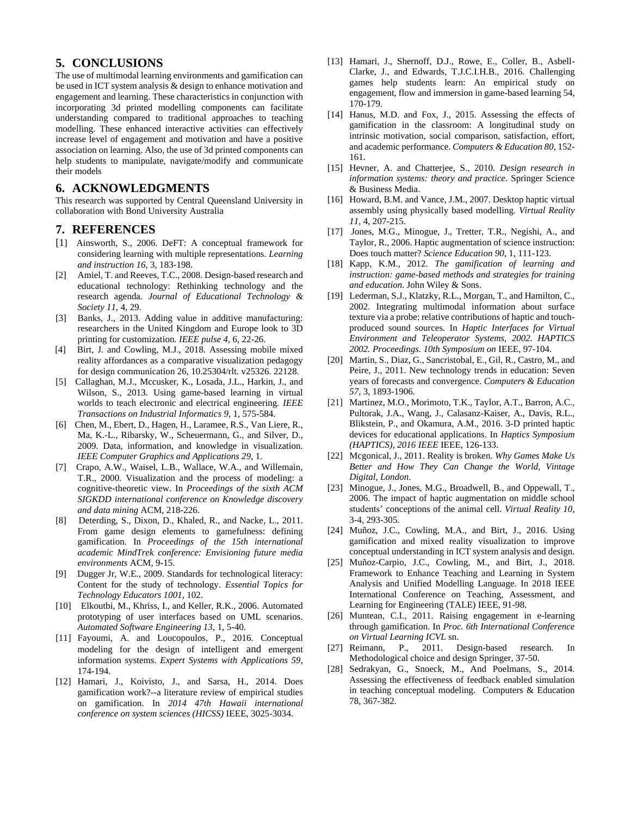### **5. CONCLUSIONS**

The use of multimodal learning environments and gamification can be used in ICT system analysis & design to enhance motivation and engagement and learning. These characteristics in conjunction with incorporating 3d printed modelling components can facilitate understanding compared to traditional approaches to teaching modelling. These enhanced interactive activities can effectively increase level of engagement and motivation and have a positive association on learning. Also, the use of 3d printed components can help students to manipulate, navigate/modify and communicate their models

#### **6. ACKNOWLEDGMENTS**

This research was supported by Central Queensland University in collaboration with Bond University Australia

#### **7. REFERENCES**

- [1] Ainsworth, S., 2006. DeFT: A conceptual framework for considering learning with multiple representations. *Learning and instruction 16*, 3, 183-198.
- [2] Amiel, T. and Reeves, T.C., 2008. Design-based research and educational technology: Rethinking technology and the research agenda. *Journal of Educational Technology & Society 11*, 4, 29.
- [3] Banks, J., 2013. Adding value in additive manufacturing: researchers in the United Kingdom and Europe look to 3D printing for customization. *IEEE pulse 4*, 6, 22-26.
- [4] Birt, J. and Cowling, M.J., 2018. Assessing mobile mixed reality affordances as a comparative visualization pedagogy for design communication 26, 10.25304/rlt. v25326. 22128.
- [5] Callaghan, M.J., Mccusker, K., Losada, J.L., Harkin, J., and Wilson, S., 2013. Using game-based learning in virtual worlds to teach electronic and electrical engineering. *IEEE Transactions on Industrial Informatics 9*, 1, 575-584.
- [6] Chen, M., Ebert, D., Hagen, H., Laramee, R.S., Van Liere, R., Ma, K.-L., Ribarsky, W., Scheuermann, G., and Silver, D., 2009. Data, information, and knowledge in visualization. *IEEE Computer Graphics and Applications 29*, 1.
- [7] Crapo, A.W., Waisel, L.B., Wallace, W.A., and Willemain, T.R., 2000. Visualization and the process of modeling: a cognitive-theoretic view. In *Proceedings of the sixth ACM SIGKDD international conference on Knowledge discovery and data mining* ACM, 218-226.
- [8] Deterding, S., Dixon, D., Khaled, R., and Nacke, L., 2011. From game design elements to gamefulness: defining gamification. In *Proceedings of the 15th international academic MindTrek conference: Envisioning future media environments* ACM, 9-15.
- [9] Dugger Jr, W.E., 2009. Standards for technological literacy: Content for the study of technology. *Essential Topics for Technology Educators 1001*, 102.
- [10] Elkoutbi, M., Khriss, I., and Keller, R.K., 2006. Automated prototyping of user interfaces based on UML scenarios. *Automated Software Engineering 13*, 1, 5-40.
- [11] Fayoumi, A. and Loucopoulos, P., 2016. Conceptual modeling for the design of intelligent and emergent information systems. *Expert Systems with Applications 59*, 174-194.
- [12] Hamari, J., Koivisto, J., and Sarsa, H., 2014. Does gamification work?--a literature review of empirical studies on gamification. In *2014 47th Hawaii international conference on system sciences (HICSS)* IEEE, 3025-3034.
- [13] Hamari, J., Shernoff, D.J., Rowe, E., Coller, B., Asbell-Clarke, J., and Edwards, T.J.C.I.H.B., 2016. Challenging games help students learn: An empirical study on engagement, flow and immersion in game-based learning 54, 170-179.
- [14] Hanus, M.D. and Fox, J., 2015. Assessing the effects of gamification in the classroom: A longitudinal study on intrinsic motivation, social comparison, satisfaction, effort, and academic performance. *Computers & Education 80*, 152- 161.
- [15] Hevner, A. and Chatterjee, S., 2010. *Design research in information systems: theory and practice*. Springer Science & Business Media.
- [16] Howard, B.M. and Vance, J.M., 2007. Desktop haptic virtual assembly using physically based modelling. *Virtual Reality 11*, 4, 207-215.
- [17] Jones, M.G., Minogue, J., Tretter, T.R., Negishi, A., and Taylor, R., 2006. Haptic augmentation of science instruction: Does touch matter? *Science Education 90*, 1, 111-123.
- [18] Kapp, K.M., 2012. *The gamification of learning and instruction: game-based methods and strategies for training and education*. John Wiley & Sons.
- [19] Lederman, S.J., Klatzky, R.L., Morgan, T., and Hamilton, C., 2002. Integrating multimodal information about surface texture via a probe: relative contributions of haptic and touchproduced sound sources. In *Haptic Interfaces for Virtual Environment and Teleoperator Systems, 2002. HAPTICS 2002. Proceedings. 10th Symposium on* IEEE, 97-104.
- [20] Martin, S., Diaz, G., Sancristobal, E., Gil, R., Castro, M., and Peire, J., 2011. New technology trends in education: Seven years of forecasts and convergence. *Computers & Education 57*, 3, 1893-1906.
- [21] Martinez, M.O., Morimoto, T.K., Taylor, A.T., Barron, A.C., Pultorak, J.A., Wang, J., Calasanz-Kaiser, A., Davis, R.L., Blikstein, P., and Okamura, A.M., 2016. 3-D printed haptic devices for educational applications. In *Haptics Symposium (HAPTICS), 2016 IEEE* IEEE, 126-133.
- [22] Mcgonical, J., 2011. Reality is broken. *Why Games Make Us Better and How They Can Change the World, Vintage Digital, London*.
- [23] Minogue, J., Jones, M.G., Broadwell, B., and Oppewall, T., 2006. The impact of haptic augmentation on middle school students' conceptions of the animal cell. *Virtual Reality 10*, 3-4, 293-305.
- [24] Muñoz, J.C., Cowling, M.A., and Birt, J., 2016. Using gamification and mixed reality visualization to improve conceptual understanding in ICT system analysis and design.
- [25] Muñoz-Carpio, J.C., Cowling, M., and Birt, J., 2018. Framework to Enhance Teaching and Learning in System Analysis and Unified Modelling Language. In 2018 IEEE International Conference on Teaching, Assessment, and Learning for Engineering (TALE) IEEE, 91-98.
- [26] Muntean, C.I., 2011. Raising engagement in e-learning through gamification. In *Proc. 6th International Conference on Virtual Learning ICVL* sn.
- [27] Reimann, P., 2011. Design-based research. In Methodological choice and design Springer, 37-50.
- [28] Sedrakyan, G., Snoeck, M., And Poelmans, S., 2014. Assessing the effectiveness of feedback enabled simulation in teaching conceptual modeling. Computers & Education 78, 367-382.